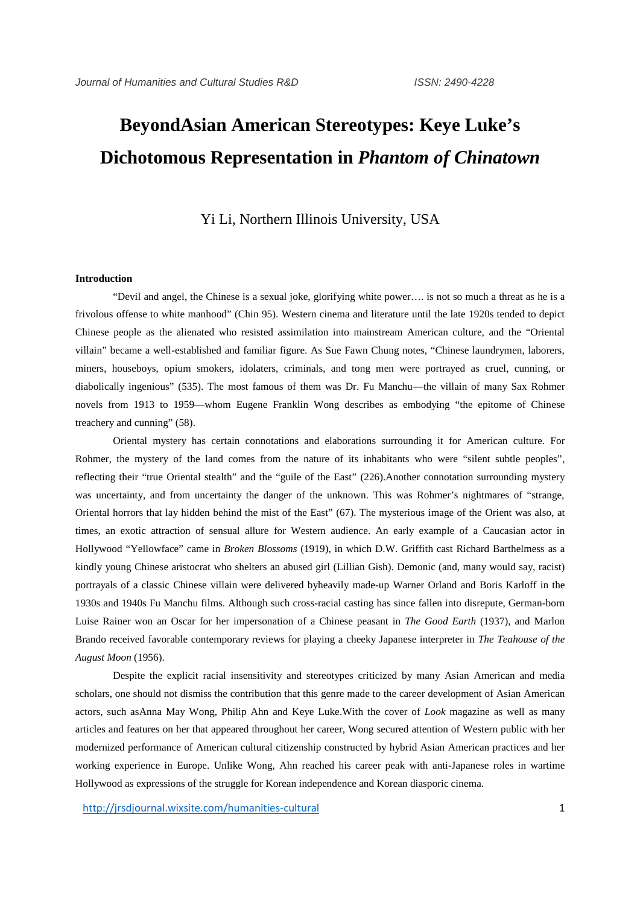# **BeyondAsian American Stereotypes: Keye Luke's Dichotomous Representation in** *Phantom of Chinatown*

## Yi Li, Northern Illinois University, USA

#### **Introduction**

"Devil and angel, the Chinese is a sexual joke, glorifying white power…. is not so much a threat as he is a frivolous offense to white manhood" (Chin 95). Western cinema and literature until the late 1920s tended to depict Chinese people as the alienated who resisted assimilation into mainstream American culture, and the "Oriental villain" became a well-established and familiar figure. As Sue Fawn Chung notes, "Chinese laundrymen, laborers, miners, houseboys, opium smokers, idolaters, criminals, and tong men were portrayed as cruel, cunning, or diabolically ingenious" (535). The most famous of them was Dr. Fu Manchu—the villain of many Sax Rohmer novels from 1913 to 1959—whom Eugene Franklin Wong describes as embodying "the epitome of Chinese treachery and cunning" (58).

Oriental mystery has certain connotations and elaborations surrounding it for American culture. For Rohmer, the mystery of the land comes from the nature of its inhabitants who were "silent subtle peoples", reflecting their "true Oriental stealth" and the "guile of the East" (226).Another connotation surrounding mystery was uncertainty, and from uncertainty the danger of the unknown. This was Rohmer's nightmares of "strange, Oriental horrors that lay hidden behind the mist of the East" (67). The mysterious image of the Orient was also, at times, an exotic attraction of sensual allure for Western audience. An early example of a Caucasian actor in Hollywood "Yellowface" came in *Broken Blossoms* (1919), in which D.W. Griffith cast Richard Barthelmess as a kindly young Chinese aristocrat who shelters an abused girl (Lillian Gish). Demonic (and, many would say, racist) portrayals of a classic Chinese villain were delivered byheavily made-up Warner Orland and Boris Karloff in the 1930s and 1940s Fu Manchu films. Although such cross-racial casting has since fallen into disrepute, German-born Luise Rainer won an Oscar for her impersonation of a Chinese peasant in *The Good Earth* (1937), and Marlon Brando received favorable contemporary reviews for playing a cheeky Japanese interpreter in *The Teahouse of the August Moon* (1956).

Despite the explicit racial insensitivity and stereotypes criticized by many Asian American and media scholars, one should not dismiss the contribution that this genre made to the career development of Asian American actors, such asAnna May Wong, Philip Ahn and Keye Luke.With the cover of *Look* magazine as well as many articles and features on her that appeared throughout her career, Wong secured attention of Western public with her modernized performance of American cultural citizenship constructed by hybrid Asian American practices and her working experience in Europe. Unlike Wong, Ahn reached his career peak with anti-Japanese roles in wartime Hollywood as expressions of the struggle for Korean independence and Korean diasporic cinema.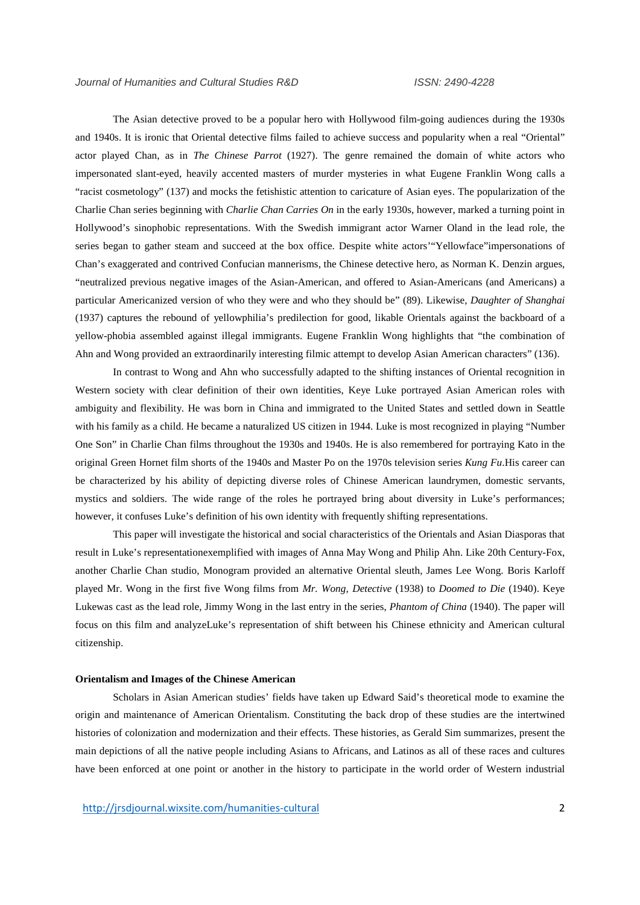The Asian detective proved to be a popular hero with Hollywood film-going audiences during the 1930s and 1940s. It is ironic that Oriental detective films failed to achieve success and popularity when a real "Oriental" actor played Chan, as in *The Chinese Parrot* (1927). The genre remained the domain of white actors who impersonated slant-eyed, heavily accented masters of murder mysteries in what Eugene Franklin Wong calls a "racist cosmetology" (137) and mocks the fetishistic attention to caricature of Asian eyes. The popularization of the Charlie Chan series beginning with *Charlie Chan Carries On* in the early 1930s, however, marked a turning point in Hollywood's sinophobic representations. With the Swedish immigrant actor Warner Oland in the lead role, the series began to gather steam and succeed at the box office. Despite white actors'"Yellowface"impersonations of Chan's exaggerated and contrived Confucian mannerisms, the Chinese detective hero, as Norman K. Denzin argues, "neutralized previous negative images of the Asian-American, and offered to Asian-Americans (and Americans) a particular Americanized version of who they were and who they should be" (89). Likewise, *Daughter of Shanghai* (1937) captures the rebound of yellowphilia's predilection for good, likable Orientals against the backboard of a yellow-phobia assembled against illegal immigrants. Eugene Franklin Wong highlights that "the combination of Ahn and Wong provided an extraordinarily interesting filmic attempt to develop Asian American characters" (136).

In contrast to Wong and Ahn who successfully adapted to the shifting instances of Oriental recognition in Western society with clear definition of their own identities, Keye Luke portrayed Asian American roles with ambiguity and flexibility. He was born in China and immigrated to the United States and settled down in Seattle with his family as a child. He became a naturalized US citizen in 1944. Luke is most recognized in playing "Number One Son" in Charlie Chan films throughout the 1930s and 1940s. He is also remembered for portraying Kato in the original Green Hornet film shorts of the 1940s and Master Po on the 1970s television series *Kung Fu*.His career can be characterized by his ability of depicting diverse roles of Chinese American laundrymen, domestic servants, mystics and soldiers. The wide range of the roles he portrayed bring about diversity in Luke's performances; however, it confuses Luke's definition of his own identity with frequently shifting representations.

This paper will investigate the historical and social characteristics of the Orientals and Asian Diasporas that result in Luke's representationexemplified with images of Anna May Wong and Philip Ahn. Like 20th Century-Fox, another Charlie Chan studio, Monogram provided an alternative Oriental sleuth, James Lee Wong. Boris Karloff played Mr. Wong in the first five Wong films from *Mr. Wong, Detective* (1938) to *Doomed to Die* (1940). Keye Lukewas cast as the lead role, Jimmy Wong in the last entry in the series, *Phantom of China* (1940). The paper will focus on this film and analyzeLuke's representation of shift between his Chinese ethnicity and American cultural citizenship.

#### **Orientalism and Images of the Chinese American**

Scholars in Asian American studies' fields have taken up Edward Said's theoretical mode to examine the origin and maintenance of American Orientalism. Constituting the back drop of these studies are the intertwined histories of colonization and modernization and their effects. These histories, as Gerald Sim summarizes, present the main depictions of all the native people including Asians to Africans, and Latinos as all of these races and cultures have been enforced at one point or another in the history to participate in the world order of Western industrial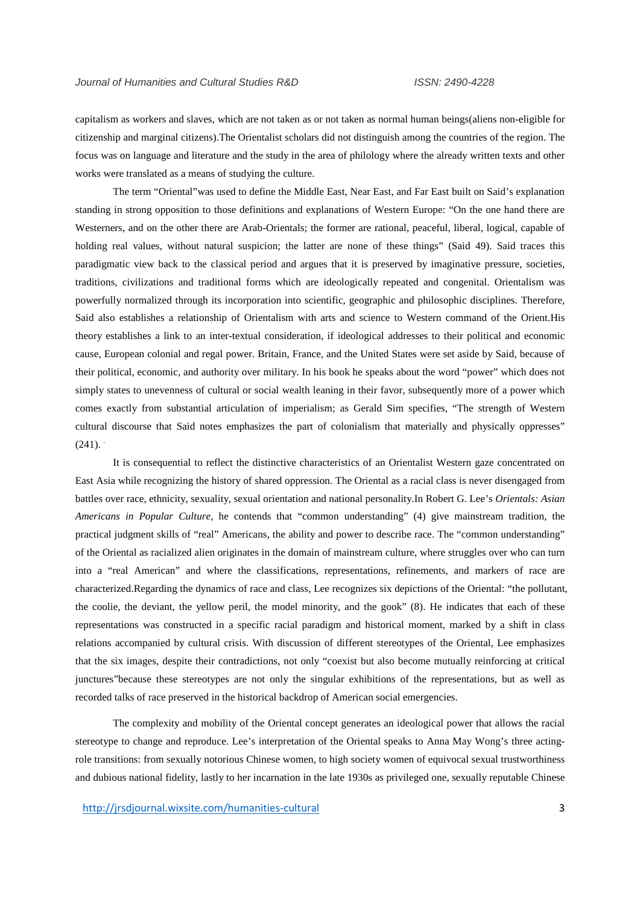capitalism as workers and slaves, which are not taken as or not taken as normal human beings(aliens non-eligible for citizenship and marginal citizens).The Orientalist scholars did not distinguish among the countries of the region. The focus was on language and literature and the study in the area of philology where the already written texts and other works were translated as a means of studying the culture.

The term "Oriental"was used to define the Middle East, Near East, and Far East built on Said's explanation standing in strong opposition to those definitions and explanations of Western Europe: "On the one hand there are Westerners, and on the other there are Arab-Orientals; the former are rational, peaceful, liberal, logical, capable of holding real values, without natural suspicion; the latter are none of these things" (Said 49). Said traces this paradigmatic view back to the classical period and argues that it is preserved by imaginative pressure, societies, traditions, civilizations and traditional forms which are ideologically repeated and congenital. Orientalism was powerfully normalized through its incorporation into scientific, geographic and philosophic disciplines. Therefore, Said also establishes a relationship of Orientalism with arts and science to Western command of the Orient.His theory establishes a link to an inter-textual consideration, if ideological addresses to their political and economic cause, European colonial and regal power. Britain, France, and the United States were set aside by Said, because of their political, economic, and authority over military. In his book he speaks about the word "power" which does not simply states to unevenness of cultural or social wealth leaning in their favor, subsequently more of a power which comes exactly from substantial articulation of imperialism; as Gerald Sim specifies, "The strength of Western cultural discourse that Said notes emphasizes the part of colonialism that materially and physically oppresses"  $(241)$ .

It is consequential to reflect the distinctive characteristics of an Orientalist Western gaze concentrated on East Asia while recognizing the history of shared oppression. The Oriental as a racial class is never disengaged from battles over race, ethnicity, sexuality, sexual orientation and national personality.In Robert G. Lee's *Orientals: Asian Americans in Popular Culture*, he contends that "common understanding" (4) give mainstream tradition, the practical judgment skills of "real" Americans, the ability and power to describe race. The "common understanding" of the Oriental as racialized alien originates in the domain of mainstream culture, where struggles over who can turn into a "real American" and where the classifications, representations, refinements, and markers of race are characterized.Regarding the dynamics of race and class, Lee recognizes six depictions of the Oriental: "the pollutant, the coolie, the deviant, the yellow peril, the model minority, and the gook" (8). He indicates that each of these representations was constructed in a specific racial paradigm and historical moment, marked by a shift in class relations accompanied by cultural crisis. With discussion of different stereotypes of the Oriental, Lee emphasizes that the six images, despite their contradictions, not only "coexist but also become mutually reinforcing at critical junctures"because these stereotypes are not only the singular exhibitions of the representations, but as well as recorded talks of race preserved in the historical backdrop of American social emergencies.

The complexity and mobility of the Oriental concept generates an ideological power that allows the racial stereotype to change and reproduce. Lee's interpretation of the Oriental speaks to Anna May Wong's three actingrole transitions: from sexually notorious Chinese women, to high society women of equivocal sexual trustworthiness and dubious national fidelity, lastly to her incarnation in the late 1930s as privileged one, sexually reputable Chinese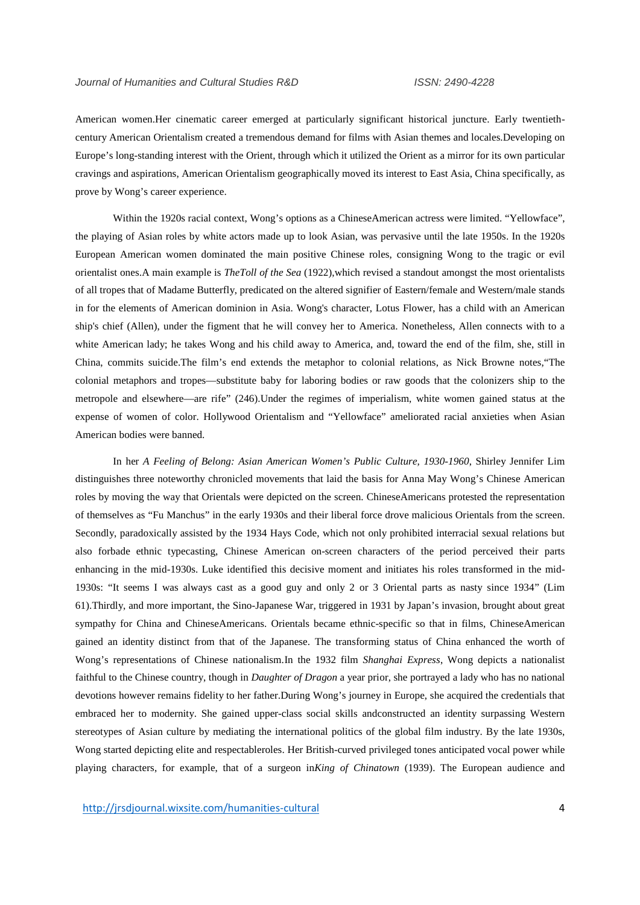American women.Her cinematic career emerged at particularly significant historical juncture. Early twentieth century American Orientalism created a tremendous demand for films with Asian themes and locales.Developing on Europe's long-standing interest with the Orient, through which it utilized the Orient as a mirror for its own particular cravings and aspirations, American Orientalism geographically moved its interest to East Asia, China specifically, as prove by Wong's career experience.

Within the 1920s racial context, Wong's options as a ChineseAmerican actress were limited. "Yellowface", the playing of Asian roles by white actors made up to look Asian, was pervasive until the late 1950s. In the 1920s European American women dominated the main positive Chinese roles, consigning Wong to the tragic or evil orientalist ones.A main example is *TheToll of the Sea* (1922),which revised a standout amongst the most orientalists of all tropes that of Madame Butterfly, predicated on the altered signifier of Eastern/female and Western/male stands in for the elements of American dominion in Asia. Wong's character, Lotus Flower, has a child with an American ship's chief (Allen), under the figment that he will convey her to America. Nonetheless, Allen connects with to a white American lady; he takes Wong and his child away to America, and, toward the end of the film, she, still in China, commits suicide.The film's end extends the metaphor to colonial relations, as Nick Browne notes,"The colonial metaphors and tropes—substitute baby for laboring bodies or raw goods that the colonizers ship to the metropole and elsewhere—are rife" (246).Under the regimes of imperialism, white women gained status at the expense of women of color. Hollywood Orientalism and "Yellowface" ameliorated racial anxieties when Asian American bodies were banned.

In her *A Feeling of Belong: Asian American Women's Public Culture, 1930-1960*, Shirley Jennifer Lim distinguishes three noteworthy chronicled movements that laid the basis for Anna May Wong's Chinese American roles by moving the way that Orientals were depicted on the screen. ChineseAmericans protested the representation of themselves as "Fu Manchus" in the early 1930s and their liberal force drove malicious Orientals from the screen. Secondly, paradoxically assisted by the 1934 Hays Code, which not only prohibited interracial sexual relations but also forbade ethnic typecasting, Chinese American on-screen characters of the period perceived their parts enhancing in the mid-1930s. Luke identified this decisive moment and initiates his roles transformed in the mid- 1930s: "It seems I was always cast as a good guy and only 2 or 3 Oriental parts as nasty since 1934" (Lim 61).Thirdly, and more important, the Sino-Japanese War, triggered in 1931 by Japan's invasion, brought about great sympathy for China and ChineseAmericans. Orientals became ethnic-specific so that in films, ChineseAmerican gained an identity distinct from that of the Japanese. The transforming status of China enhanced the worth of Wong's representations of Chinese nationalism.In the 1932 film *Shanghai Express*, Wong depicts a nationalist faithful to the Chinese country, though in *Daughter of Dragon* a year prior, she portrayed a lady who has no national devotions however remains fidelity to her father.During Wong's journey in Europe, she acquired the credentials that embraced her to modernity. She gained upper-class social skills andconstructed an identity surpassing Western stereotypes of Asian culture by mediating the international politics of the global film industry. By the late 1930s, Wong started depicting elite and respectableroles. Her British-curved privileged tones anticipated vocal power while playing characters, for example, that of a surgeon in*King of Chinatown* (1939). The European audience and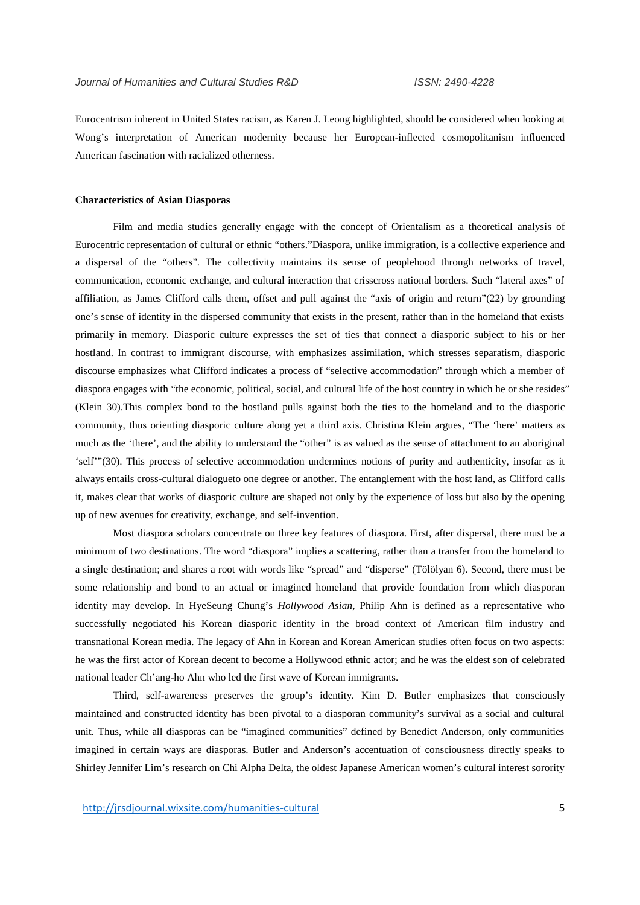Eurocentrism inherent in United States racism, as Karen J. Leong highlighted, should be considered when looking at Wong's interpretation of American modernity because her European-inflected cosmopolitanism influenced American fascination with racialized otherness.

#### **Characteristics of Asian Diasporas**

Film and media studies generally engage with the concept of Orientalism as a theoretical analysis of Eurocentric representation of cultural or ethnic "others."Diaspora, unlike immigration, is a collective experience and a dispersal of the "others". The collectivity maintains its sense of peoplehood through networks of travel, communication, economic exchange, and cultural interaction that crisscross national borders. Such "lateral axes" of affiliation, as James Clifford calls them, offset and pull against the "axis of origin and return"(22) by grounding one's sense of identity in the dispersed community that exists in the present, rather than in the homeland that exists primarily in memory. Diasporic culture expresses the set of ties that connect a diasporic subject to his or her hostland. In contrast to immigrant discourse, with emphasizes assimilation, which stresses separatism, diasporic discourse emphasizes what Clifford indicates a process of "selective accommodation" through which a member of diaspora engages with "the economic, political, social, and cultural life of the host country in which he or she resides" (Klein 30).This complex bond to the hostland pulls against both the ties to the homeland and to the diasporic community, thus orienting diasporic culture along yet a third axis. Christina Klein argues, "The 'here' matters as much as the 'there', and the ability to understand the "other" is as valued as the sense of attachment to an aboriginal 'self'"(30). This process of selective accommodation undermines notions of purity and authenticity, insofar as it always entails cross-cultural dialogueto one degree or another. The entanglement with the host land, as Clifford calls it, makes clear that works of diasporic culture are shaped not only by the experience of loss but also by the opening up of new avenues for creativity, exchange, and self-invention.

Most diaspora scholars concentrate on three key features of diaspora. First, after dispersal, there must be a minimum of two destinations. The word "diaspora" implies a scattering, rather than a transfer from the homeland to a single destination; and shares a root with words like "spread" and "disperse" (Tölölyan 6). Second, there must be some relationship and bond to an actual or imagined homeland that provide foundation from which diasporan identity may develop. In HyeSeung Chung's *Hollywood Asian*, Philip Ahn is defined as a representative who successfully negotiated his Korean diasporic identity in the broad context of American film industry and transnational Korean media. The legacy of Ahn in Korean and Korean American studies often focus on two aspects: he was the first actor of Korean decent to become a Hollywood ethnic actor; and he was the eldest son of celebrated national leader Ch'ang-ho Ahn who led the first wave of Korean immigrants.

Third, self-awareness preserves the group's identity. Kim D. Butler emphasizes that consciously maintained and constructed identity has been pivotal to a diasporan community's survival as a social and cultural unit. Thus, while all diasporas can be "imagined communities" defined by Benedict Anderson, only communities imagined in certain ways are diasporas. Butler and Anderson's accentuation of consciousness directly speaks to Shirley Jennifer Lim's research on Chi Alpha Delta, the oldest Japanese American women's cultural interest sorority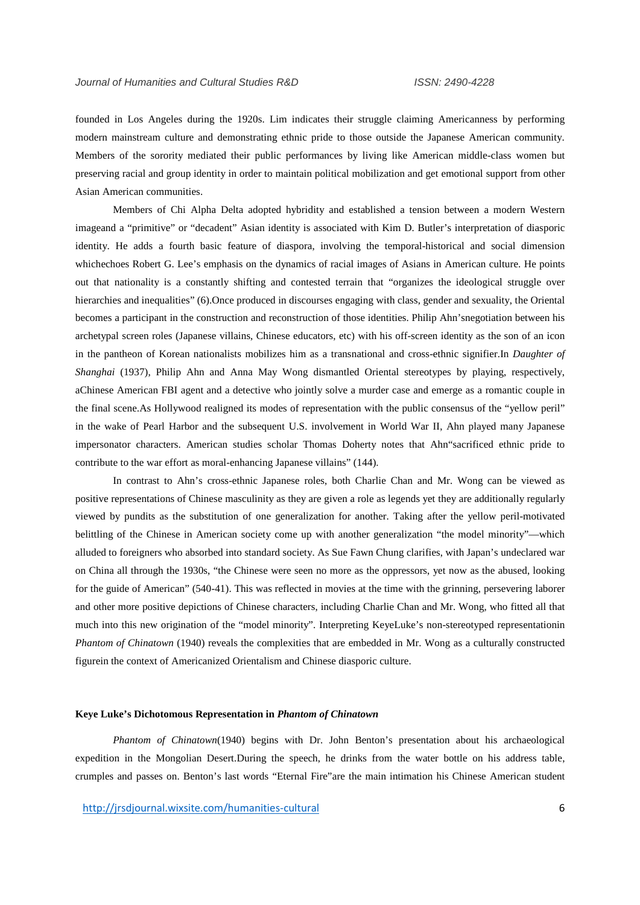founded in Los Angeles during the 1920s. Lim indicates their struggle claiming Americanness by performing modern mainstream culture and demonstrating ethnic pride to those outside the Japanese American community. Members of the sorority mediated their public performances by living like American middle-class women but preserving racial and group identity in order to maintain political mobilization and get emotional support from other Asian American communities.

Members of Chi Alpha Delta adopted hybridity and established a tension between a modern Western imageand a "primitive" or "decadent" Asian identity is associated with Kim D. Butler's interpretation of diasporic identity. He adds a fourth basic feature of diaspora, involving the temporal-historical and social dimension whichechoes Robert G. Lee's emphasis on the dynamics of racial images of Asians in American culture. He points out that nationality is a constantly shifting and contested terrain that "organizes the ideological struggle over hierarchies and inequalities" (6). Once produced in discourses engaging with class, gender and sexuality, the Oriental becomes a participant in the construction and reconstruction of those identities. Philip Ahn'snegotiation between his archetypal screen roles (Japanese villains, Chinese educators, etc) with his off-screen identity as the son of an icon in the pantheon of Korean nationalists mobilizes him as a transnational and cross-ethnic signifier.In *Daughter of Shanghai* (1937), Philip Ahn and Anna May Wong dismantled Oriental stereotypes by playing, respectively, aChinese American FBI agent and a detective who jointly solve a murder case and emerge as a romantic couple in the final scene.As Hollywood realigned its modes of representation with the public consensus of the "yellow peril" in the wake of Pearl Harbor and the subsequent U.S. involvement in World War II, Ahn played many Japanese impersonator characters. American studies scholar Thomas Doherty notes that Ahn"sacrificed ethnic pride to contribute to the war effort as moral-enhancing Japanese villains" (144).

In contrast to Ahn's cross-ethnic Japanese roles, both Charlie Chan and Mr. Wong can be viewed as positive representations of Chinese masculinity as they are given a role as legends yet they are additionally regularly viewed by pundits as the substitution of one generalization for another. Taking after the yellow peril-motivated belittling of the Chinese in American society come up with another generalization "the model minority"—which alluded to foreigners who absorbed into standard society. As Sue Fawn Chung clarifies, with Japan's undeclared war on China all through the 1930s, "the Chinese were seen no more as the oppressors, yet now as the abused, looking for the guide of American" (540-41). This was reflected in movies at the time with the grinning, persevering laborer and other more positive depictions of Chinese characters, including Charlie Chan and Mr. Wong, who fitted all that much into this new origination of the "model minority". Interpreting KeyeLuke's non-stereotyped representationin *Phantom of Chinatown* (1940) reveals the complexities that are embedded in Mr. Wong as a culturally constructed figurein the context of Americanized Orientalism and Chinese diasporic culture.

#### **Keye Luke's Dichotomous Representation in** *Phantom of Chinatown*

*Phantom of Chinatown*(1940) begins with Dr. John Benton's presentation about his archaeological expedition in the Mongolian Desert.During the speech, he drinks from the water bottle on his address table, crumples and passes on. Benton's last words "Eternal Fire"are the main intimation his Chinese American student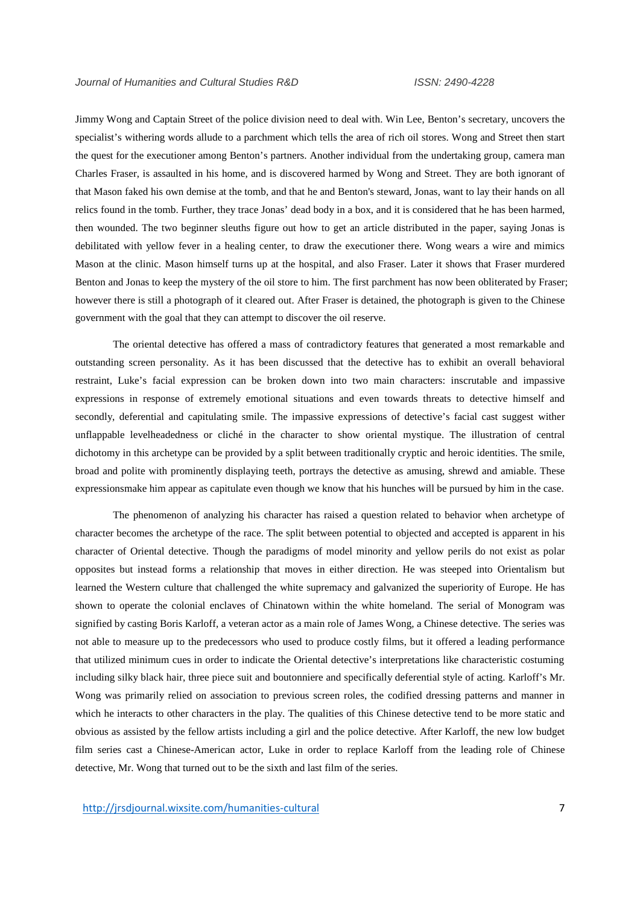Jimmy Wong and Captain Street of the police division need to deal with. Win Lee, Benton's secretary, uncovers the specialist's withering words allude to a parchment which tells the area of rich oil stores. Wong and Street then start the quest for the executioner among Benton's partners. Another individual from the undertaking group, camera man Charles Fraser, is assaulted in his home, and is discovered harmed by Wong and Street. They are both ignorant of that Mason faked his own demise at the tomb, and that he and Benton's steward, Jonas, want to lay their hands on all relics found in the tomb. Further, they trace Jonas' dead body in a box, and it is considered that he has been harmed, then wounded. The two beginner sleuths figure out how to get an article distributed in the paper, saying Jonas is debilitated with yellow fever in a healing center, to draw the executioner there. Wong wears a wire and mimics Mason at the clinic. Mason himself turns up at the hospital, and also Fraser. Later it shows that Fraser murdered Benton and Jonas to keep the mystery of the oil store to him. The first parchment has now been obliterated by Fraser; however there is still a photograph of it cleared out. After Fraser is detained, the photograph is given to the Chinese government with the goal that they can attempt to discover the oil reserve.

The oriental detective has offered a mass of contradictory features that generated a most remarkable and outstanding screen personality. As it has been discussed that the detective has to exhibit an overall behavioral restraint, Luke's facial expression can be broken down into two main characters: inscrutable and impassive expressions in response of extremely emotional situations and even towards threats to detective himself and secondly, deferential and capitulating smile. The impassive expressions of detective's facial cast suggest wither unflappable levelheadedness or cliché in the character to show oriental mystique. The illustration of central dichotomy in this archetype can be provided by a split between traditionally cryptic and heroic identities. The smile, broad and polite with prominently displaying teeth, portrays the detective as amusing, shrewd and amiable. These expressionsmake him appear as capitulate even though we know that his hunches will be pursued by him in the case.

The phenomenon of analyzing his character has raised a question related to behavior when archetype of character becomes the archetype of the race. The split between potential to objected and accepted is apparent in his character of Oriental detective. Though the paradigms of model minority and yellow perils do not exist as polar opposites but instead forms a relationship that moves in either direction. He was steeped into Orientalism but learned the Western culture that challenged the white supremacy and galvanized the superiority of Europe. He has shown to operate the colonial enclaves of Chinatown within the white homeland. The serial of Monogram was signified by casting Boris Karloff, a veteran actor as a main role of James Wong, a Chinese detective. The series was not able to measure up to the predecessors who used to produce costly films, but it offered a leading performance that utilized minimum cues in order to indicate the Oriental detective's interpretations like characteristic costuming including silky black hair, three piece suit and boutonniere and specifically deferential style of acting. Karloff's Mr. Wong was primarily relied on association to previous screen roles, the codified dressing patterns and manner in which he interacts to other characters in the play. The qualities of this Chinese detective tend to be more static and obvious as assisted by the fellow artists including a girl and the police detective. After Karloff, the new low budget film series cast a Chinese-American actor, Luke in order to replace Karloff from the leading role of Chinese detective, Mr. Wong that turned out to be the sixth and last film of the series.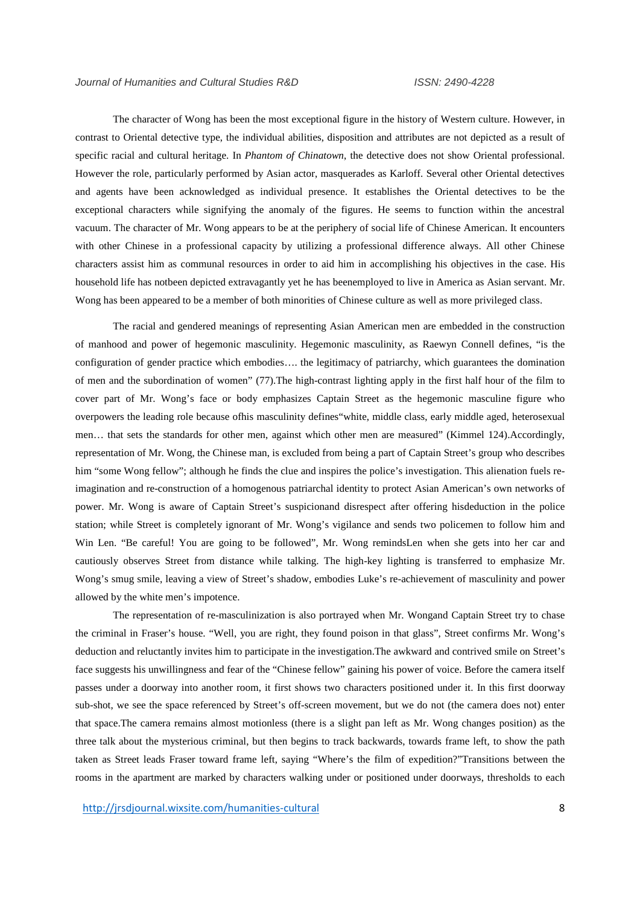The character of Wong has been the most exceptional figure in the history of Western culture. However, in contrast to Oriental detective type, the individual abilities, disposition and attributes are not depicted as a result of specific racial and cultural heritage. In *Phantom of Chinatown*, the detective does not show Oriental professional. However the role, particularly performed by Asian actor, masquerades as Karloff. Several other Oriental detectives and agents have been acknowledged as individual presence. It establishes the Oriental detectives to be the exceptional characters while signifying the anomaly of the figures. He seems to function within the ancestral vacuum. The character of Mr. Wong appears to be at the periphery of social life of Chinese American. It encounters with other Chinese in a professional capacity by utilizing a professional difference always. All other Chinese characters assist him as communal resources in order to aid him in accomplishing his objectives in the case. His household life has notbeen depicted extravagantly yet he has beenemployed to live in America as Asian servant. Mr. Wong has been appeared to be a member of both minorities of Chinese culture as well as more privileged class.

The racial and gendered meanings of representing Asian American men are embedded in the construction of manhood and power of hegemonic masculinity. Hegemonic masculinity, as Raewyn Connell defines, "is the configuration of gender practice which embodies…. the legitimacy of patriarchy, which guarantees the domination of men and the subordination of women" (77).The high-contrast lighting apply in the first half hour of the film to cover part of Mr. Wong's face or body emphasizes Captain Street as the hegemonic masculine figure who overpowers the leading role because ofhis masculinity defines"white, middle class, early middle aged, heterosexual men… that sets the standards for other men, against which other men are measured" (Kimmel 124).Accordingly, representation of Mr. Wong, the Chinese man, is excluded from being a part of Captain Street's group who describes him "some Wong fellow"; although he finds the clue and inspires the police's investigation. This alienation fuels reimagination and re-construction of a homogenous patriarchal identity to protect Asian American's own networks of power. Mr. Wong is aware of Captain Street's suspicionand disrespect after offering hisdeduction in the police station; while Street is completely ignorant of Mr. Wong's vigilance and sends two policemen to follow him and Win Len. "Be careful! You are going to be followed", Mr. Wong remindsLen when she gets into her car and cautiously observes Street from distance while talking. The high-key lighting is transferred to emphasize Mr. Wong's smug smile, leaving a view of Street's shadow, embodies Luke's re-achievement of masculinity and power allowed by the white men's impotence.

The representation of re-masculinization is also portrayed when Mr. Wongand Captain Street try to chase the criminal in Fraser's house. "Well, you are right, they found poison in that glass", Street confirms Mr. Wong's deduction and reluctantly invites him to participate in the investigation.The awkward and contrived smile on Street's face suggests his unwillingness and fear of the "Chinese fellow" gaining his power of voice. Before the camera itself passes under a doorway into another room, it first shows two characters positioned under it. In this first doorway sub-shot, we see the space referenced by Street's off-screen movement, but we do not (the camera does not) enter that space.The camera remains almost motionless (there is a slight pan left as Mr. Wong changes position) as the three talk about the mysterious criminal, but then begins to track backwards, towards frame left, to show the path taken as Street leads Fraser toward frame left, saying "Where's the film of expedition?"Transitions between the rooms in the apartment are marked by characters walking under or positioned under doorways, thresholds to each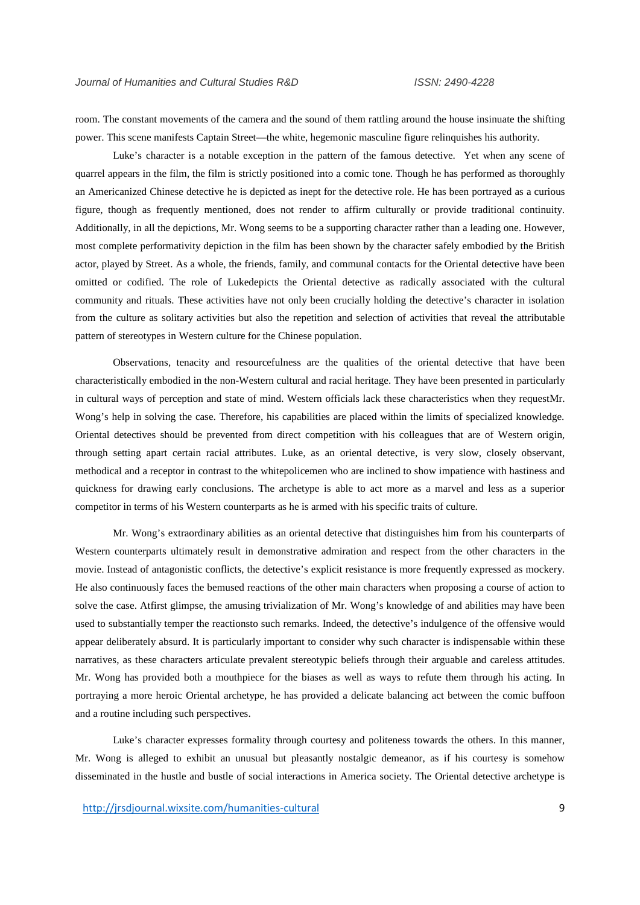room. The constant movements of the camera and the sound of them rattling around the house insinuate the shifting power. This scene manifests Captain Street—the white, hegemonic masculine figure relinquishes his authority.

Luke's character is a notable exception in the pattern of the famous detective. Yet when any scene of quarrel appears in the film, the film is strictly positioned into a comic tone. Though he has performed as thoroughly an Americanized Chinese detective he is depicted as inept for the detective role. He has been portrayed as a curious figure, though as frequently mentioned, does not render to affirm culturally or provide traditional continuity. Additionally, in all the depictions, Mr. Wong seems to be a supporting character rather than a leading one. However, most complete performativity depiction in the film has been shown by the character safely embodied by the British actor, played by Street. As a whole, the friends, family, and communal contacts for the Oriental detective have been omitted or codified. The role of Lukedepicts the Oriental detective as radically associated with the cultural community and rituals. These activities have not only been crucially holding the detective's character in isolation from the culture as solitary activities but also the repetition and selection of activities that reveal the attributable pattern of stereotypes in Western culture for the Chinese population.

Observations, tenacity and resourcefulness are the qualities of the oriental detective that have been characteristically embodied in the non-Western cultural and racial heritage. They have been presented in particularly in cultural ways of perception and state of mind. Western officials lack these characteristics when they requestMr. Wong's help in solving the case. Therefore, his capabilities are placed within the limits of specialized knowledge. Oriental detectives should be prevented from direct competition with his colleagues that are of Western origin, through setting apart certain racial attributes. Luke, as an oriental detective, is very slow, closely observant, methodical and a receptor in contrast to the whitepolicemen who are inclined to show impatience with hastiness and quickness for drawing early conclusions. The archetype is able to act more as a marvel and less as a superior competitor in terms of his Western counterparts as he is armed with his specific traits of culture.

Mr. Wong's extraordinary abilities as an oriental detective that distinguishes him from his counterparts of Western counterparts ultimately result in demonstrative admiration and respect from the other characters in the movie. Instead of antagonistic conflicts, the detective's explicit resistance is more frequently expressed as mockery. He also continuously faces the bemused reactions of the other main characters when proposing a course of action to solve the case. Atfirst glimpse, the amusing trivialization of Mr. Wong's knowledge of and abilities may have been used to substantially temper the reactionsto such remarks. Indeed, the detective's indulgence of the offensive would appear deliberately absurd. It is particularly important to consider why such character is indispensable within these narratives, as these characters articulate prevalent stereotypic beliefs through their arguable and careless attitudes. Mr. Wong has provided both a mouthpiece for the biases as well as ways to refute them through his acting. In portraying a more heroic Oriental archetype, he has provided a delicate balancing act between the comic buffoon and a routine including such perspectives.

Luke's character expresses formality through courtesy and politeness towards the others. In this manner, Mr. Wong is alleged to exhibit an unusual but pleasantly nostalgic demeanor, as if his courtesy is somehow disseminated in the hustle and bustle of social interactions in America society. The Oriental detective archetype is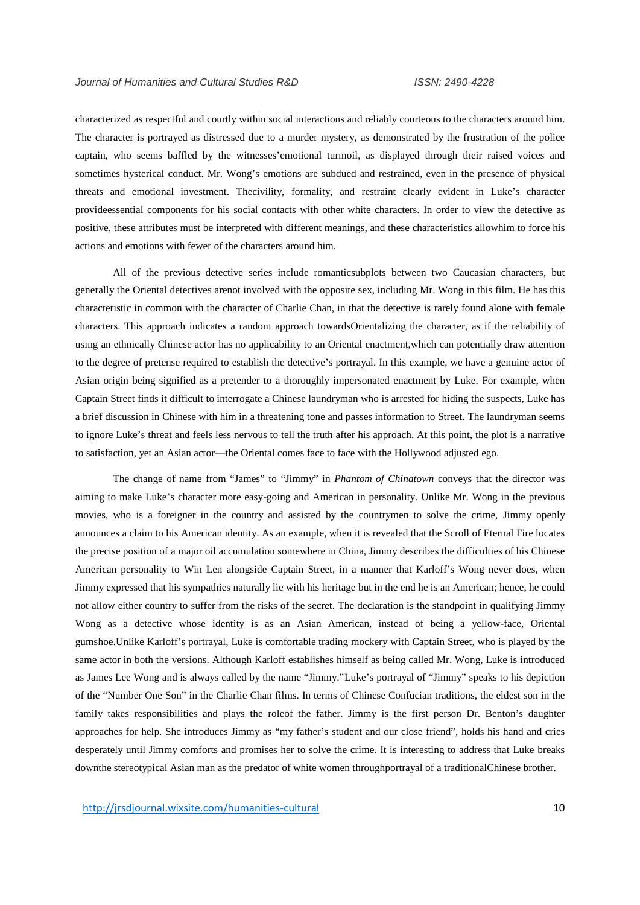characterized as respectful and courtly within social interactions and reliably courteous to the characters around him. The character is portrayed as distressed due to a murder mystery, as demonstrated by the frustration of the police captain, who seems baffled by the witnesses'emotional turmoil, as displayed through their raised voices and sometimes hysterical conduct. Mr. Wong's emotions are subdued and restrained, even in the presence of physical threats and emotional investment. Thecivility, formality, and restraint clearly evident in Luke's character provideessential components for his social contacts with other white characters. In order to view the detective as positive, these attributes must be interpreted with different meanings, and these characteristics allowhim to force his actions and emotions with fewer of the characters around him.

All of the previous detective series include romanticsubplots between two Caucasian characters, but generally the Oriental detectives arenot involved with the opposite sex, including Mr. Wong in this film. He has this characteristic in common with the character of Charlie Chan, in that the detective is rarely found alone with female characters. This approach indicates a random approach towardsOrientalizing the character, as if the reliability of using an ethnically Chinese actor has no applicability to an Oriental enactment,which can potentially draw attention to the degree of pretense required to establish the detective's portrayal. In this example, we have a genuine actor of Asian origin being signified as a pretender to a thoroughly impersonated enactment by Luke. For example, when Captain Street finds it difficult to interrogate a Chinese laundryman who is arrested for hiding the suspects, Luke has a brief discussion in Chinese with him in a threatening tone and passes information to Street. The laundryman seems to ignore Luke's threat and feels less nervous to tell the truth after his approach. At this point, the plot is a narrative to satisfaction, yet an Asian actor—the Oriental comes face to face with the Hollywood adjusted ego.

The change of name from "James" to "Jimmy" in *Phantom of Chinatown* conveys that the director was aiming to make Luke's character more easy-going and American in personality. Unlike Mr. Wong in the previous movies, who is a foreigner in the country and assisted by the countrymen to solve the crime, Jimmy openly announces a claim to his American identity. As an example, when it is revealed that the Scroll of Eternal Fire locates the precise position of a major oil accumulation somewhere in China, Jimmy describes the difficulties of his Chinese American personality to Win Len alongside Captain Street, in a manner that Karloff's Wong never does, when Jimmy expressed that his sympathies naturally lie with his heritage but in the end he is an American; hence, he could not allow either country to suffer from the risks of the secret. The declaration is the standpoint in qualifying Jimmy Wong as a detective whose identity is as an Asian American, instead of being a yellow-face, Oriental gumshoe.Unlike Karloff's portrayal, Luke is comfortable trading mockery with Captain Street, who is played by the same actor in both the versions. Although Karloff establishes himself as being called Mr. Wong, Luke is introduced as James Lee Wong and is always called by the name "Jimmy."Luke's portrayal of "Jimmy" speaks to his depiction of the "Number One Son" in the Charlie Chan films. In terms of Chinese Confucian traditions, the eldest son in the family takes responsibilities and plays the roleof the father. Jimmy is the first person Dr. Benton's daughter approaches for help. She introduces Jimmy as "my father's student and our close friend", holds his hand and cries desperately until Jimmy comforts and promises her to solve the crime. It is interesting to address that Luke breaks downthe stereotypical Asian man as the predator of white women throughportrayal of a traditionalChinese brother.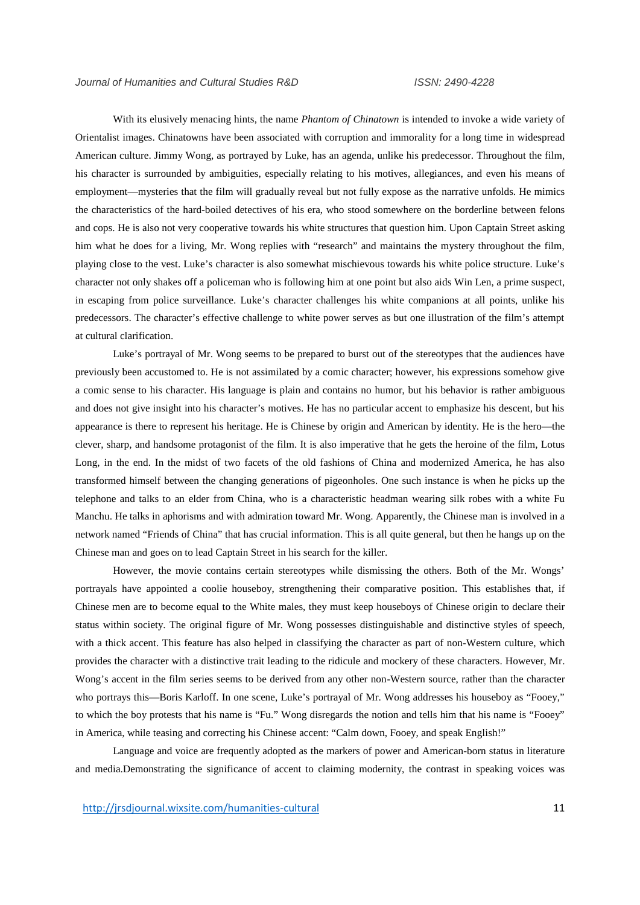With its elusively menacing hints, the name *Phantom of Chinatown* is intended to invoke a wide variety of Orientalist images. Chinatowns have been associated with corruption and immorality for a long time in widespread American culture. Jimmy Wong, as portrayed by Luke, has an agenda, unlike his predecessor. Throughout the film, his character is surrounded by ambiguities, especially relating to his motives, allegiances, and even his means of employment—mysteries that the film will gradually reveal but not fully expose as the narrative unfolds. He mimics the characteristics of the hard-boiled detectives of his era, who stood somewhere on the borderline between felons and cops. He is also not very cooperative towards his white structures that question him. Upon Captain Street asking him what he does for a living, Mr. Wong replies with "research" and maintains the mystery throughout the film, playing close to the vest. Luke's character is also somewhat mischievous towards his white police structure. Luke's character not only shakes off a policeman who is following him at one point but also aids Win Len, a prime suspect, in escaping from police surveillance. Luke's character challenges his white companions at all points, unlike his predecessors. The character's effective challenge to white power serves as but one illustration of the film's attempt at cultural clarification.

Luke's portrayal of Mr. Wong seems to be prepared to burst out of the stereotypes that the audiences have previously been accustomed to. He is not assimilated by a comic character; however, his expressions somehow give a comic sense to his character. His language is plain and contains no humor, but his behavior is rather ambiguous and does not give insight into his character's motives. He has no particular accent to emphasize his descent, but his appearance is there to represent his heritage. He is Chinese by origin and American by identity. He is the hero—the clever, sharp, and handsome protagonist of the film. It is also imperative that he gets the heroine of the film, Lotus Long, in the end. In the midst of two facets of the old fashions of China and modernized America, he has also transformed himself between the changing generations of pigeonholes. One such instance is when he picks up the telephone and talks to an elder from China, who is a characteristic headman wearing silk robes with a white Fu Manchu. He talks in aphorisms and with admiration toward Mr. Wong. Apparently, the Chinese man is involved in a network named "Friends of China" that has crucial information. This is all quite general, but then he hangs up on the Chinese man and goes on to lead Captain Street in his search for the killer.

However, the movie contains certain stereotypes while dismissing the others. Both of the Mr. Wongs' portrayals have appointed a coolie houseboy, strengthening their comparative position. This establishes that, if Chinese men are to become equal to the White males, they must keep houseboys of Chinese origin to declare their status within society. The original figure of Mr. Wong possesses distinguishable and distinctive styles of speech, with a thick accent. This feature has also helped in classifying the character as part of non-Western culture, which provides the character with a distinctive trait leading to the ridicule and mockery of these characters. However, Mr. Wong's accent in the film series seems to be derived from any other non-Western source, rather than the character who portrays this—Boris Karloff. In one scene, Luke's portrayal of Mr. Wong addresses his houseboy as "Fooey," to which the boy protests that his name is "Fu." Wong disregards the notion and tells him that his name is "Fooey" in America, while teasing and correcting his Chinese accent: "Calm down, Fooey, and speak English!"

Language and voice are frequently adopted as the markers of power and American-born status in literature and media.Demonstrating the significance of accent to claiming modernity, the contrast in speaking voices was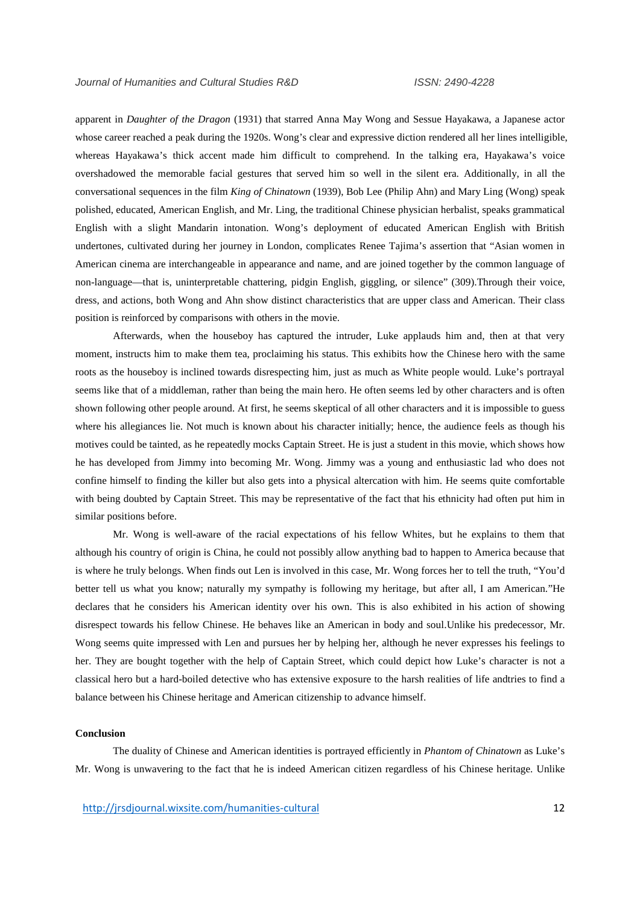apparent in *Daughter of the Dragon* (1931) that starred Anna May Wong and Sessue Hayakawa, a Japanese actor whose career reached a peak during the 1920s. Wong's clear and expressive diction rendered all her lines intelligible, whereas Hayakawa's thick accent made him difficult to comprehend. In the talking era, Hayakawa's voice overshadowed the memorable facial gestures that served him so well in the silent era. Additionally, in all the conversational sequences in the film *King of Chinatown* (1939), Bob Lee (Philip Ahn) and Mary Ling (Wong) speak polished, educated, American English, and Mr. Ling, the traditional Chinese physician herbalist, speaks grammatical English with a slight Mandarin intonation. Wong's deployment of educated American English with British undertones, cultivated during her journey in London, complicates Renee Tajima's assertion that "Asian women in American cinema are interchangeable in appearance and name, and are joined together by the common language of non-language—that is, uninterpretable chattering, pidgin English, giggling, or silence" (309).Through their voice, dress, and actions, both Wong and Ahn show distinct characteristics that are upper class and American. Their class position is reinforced by comparisons with others in the movie.

Afterwards, when the houseboy has captured the intruder, Luke applauds him and, then at that very moment, instructs him to make them tea, proclaiming his status. This exhibits how the Chinese hero with the same roots as the houseboy is inclined towards disrespecting him, just as much as White people would. Luke's portrayal seems like that of a middleman, rather than being the main hero. He often seems led by other characters and is often shown following other people around. At first, he seems skeptical of all other characters and it is impossible to guess where his allegiances lie. Not much is known about his character initially; hence, the audience feels as though his motives could be tainted, as he repeatedly mocks Captain Street. He is just a student in this movie, which shows how he has developed from Jimmy into becoming Mr. Wong. Jimmy was a young and enthusiastic lad who does not confine himself to finding the killer but also gets into a physical altercation with him. He seems quite comfortable with being doubted by Captain Street. This may be representative of the fact that his ethnicity had often put him in similar positions before.

Mr. Wong is well-aware of the racial expectations of his fellow Whites, but he explains to them that although his country of origin is China, he could not possibly allow anything bad to happen to America because that is where he truly belongs. When finds out Len is involved in this case, Mr. Wong forces her to tell the truth, "You'd better tell us what you know; naturally my sympathy is following my heritage, but after all, I am American."He declares that he considers his American identity over his own. This is also exhibited in his action of showing disrespect towards his fellow Chinese. He behaves like an American in body and soul.Unlike his predecessor, Mr. Wong seems quite impressed with Len and pursues her by helping her, although he never expresses his feelings to her. They are bought together with the help of Captain Street, which could depict how Luke's character is not a classical hero but a hard-boiled detective who has extensive exposure to the harsh realities of life andtries to find a balance between his Chinese heritage and American citizenship to advance himself.

#### **Conclusion**

The duality of Chinese and American identities is portrayed efficiently in *Phantom of Chinatown* as Luke's Mr. Wong is unwavering to the fact that he is indeed American citizen regardless of his Chinese heritage. Unlike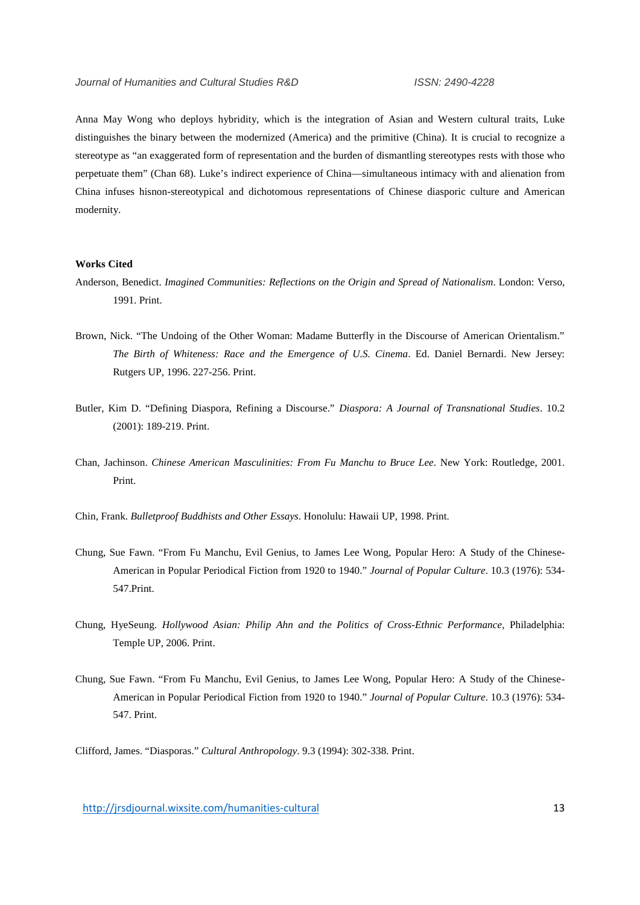Anna May Wong who deploys hybridity, which is the integration of Asian and Western cultural traits, Luke distinguishes the binary between the modernized (America) and the primitive (China). It is crucial to recognize a stereotype as "an exaggerated form of representation and the burden of dismantling stereotypes rests with those who perpetuate them" (Chan 68). Luke's indirect experience of China—simultaneous intimacy with and alienation from China infuses hisnon-stereotypical and dichotomous representations of Chinese diasporic culture and American modernity.

### **Works Cited**

Anderson, Benedict. *Imagined Communities: Reflections on the Origin and Spread of Nationalism*. London: Verso, 1991. Print.

- Brown, Nick. "The Undoing of the Other Woman: Madame Butterfly in the Discourse of American Orientalism." *The Birth of Whiteness: Race and the Emergence of U.S. Cinema*. Ed. Daniel Bernardi. New Jersey: Rutgers UP, 1996. 227-256. Print.
- Butler, Kim D. "Defining Diaspora, Refining a Discourse." *Diaspora: A Journal of Transnational Studies*. 10.2 (2001): 189-219. Print.
- Chan, Jachinson. *Chinese American Masculinities: From Fu Manchu to Bruce Lee*. New York: Routledge, 2001. Print.
- Chin, Frank. *Bulletproof Buddhists and Other Essays*. Honolulu: Hawaii UP, 1998. Print.
- Chung, Sue Fawn. "From Fu Manchu, Evil Genius, to James Lee Wong, Popular Hero: A Study of the Chinese- American in Popular Periodical Fiction from 1920 to 1940." *Journal of Popular Culture*. 10.3 (1976): 534- 547.Print.
- Chung, HyeSeung. *Hollywood Asian: Philip Ahn and the Politics of Cross-Ethnic Performance*, Philadelphia: Temple UP, 2006. Print.
- Chung, Sue Fawn. "From Fu Manchu, Evil Genius, to James Lee Wong, Popular Hero: A Study of the Chinese- American in Popular Periodical Fiction from 1920 to 1940." *Journal of Popular Culture*. 10.3 (1976): 534- 547. Print.

Clifford, James. "Diasporas." *Cultural Anthropology*. 9.3 (1994): 302-338. Print.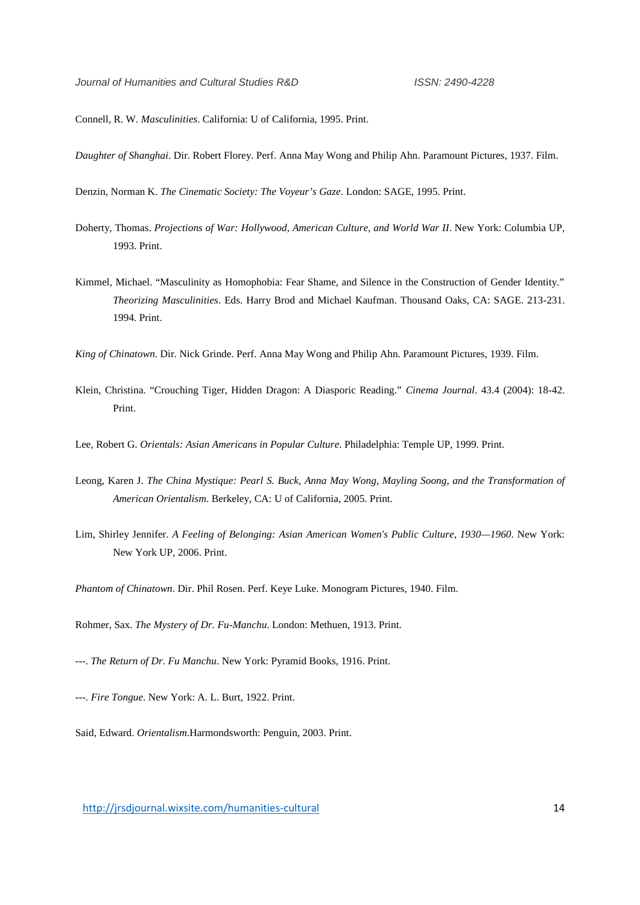Connell, R. W. *Masculinities*. California: U of California, 1995. Print.

*Daughter of Shanghai*. Dir. Robert Florey. Perf. Anna May Wong and Philip Ahn. Paramount Pictures, 1937. Film.

Denzin, Norman K. *The Cinematic Society: The Voyeur's Gaze*. London: SAGE, 1995. Print.

- Doherty, Thomas. *Projections of War: Hollywood, American Culture, and World War II*. New York: Columbia UP, 1993. Print.
- Kimmel, Michael. "Masculinity as Homophobia: Fear Shame, and Silence in the Construction of Gender Identity." *Theorizing Masculinities*. Eds. Harry Brod and Michael Kaufman. Thousand Oaks, CA: SAGE. 213-231. 1994. Print.

*King of Chinatown*. Dir. Nick Grinde. Perf. Anna May Wong and Philip Ahn. Paramount Pictures, 1939. Film.

- Klein, Christina. "Crouching Tiger, Hidden Dragon: A Diasporic Reading." *Cinema Journal*. 43.4 (2004): 18-42. Print.
- Lee, Robert G. *Orientals: Asian Americans in Popular Culture*. Philadelphia: Temple UP, 1999. Print.
- Leong, Karen J. *The China Mystique: Pearl S. Buck, Anna May Wong, Mayling Soong, and the Transformation of American Orientalism*. Berkeley, CA: U of California, 2005. Print.
- Lim, Shirley Jennifer. *A Feeling of Belonging: Asian American Women's Public Culture, 1930—1960*. New York: New York UP, 2006. Print.

*Phantom of Chinatown*. Dir. Phil Rosen. Perf. Keye Luke. Monogram Pictures, 1940. Film.

Rohmer, Sax. *The Mystery of Dr. Fu-Manchu*. London: Methuen, 1913. Print.

- ---. *The Return of Dr. Fu Manchu*. New York: Pyramid Books, 1916. Print.
- ---. *Fire Tongue*. New York: A. L. Burt, 1922. Print.
- Said, Edward. *Orientalism*.Harmondsworth: Penguin, 2003. Print.